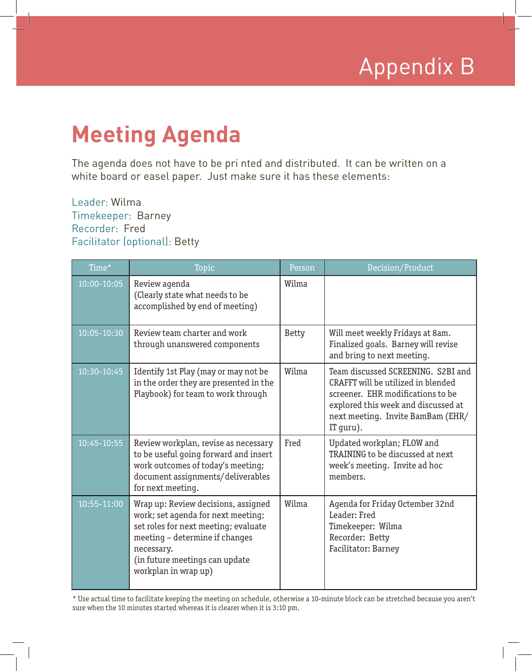

## **Meeting Agenda**

The agenda does not have to be pri nted and distributed. It can be written on a white board or easel paper. Just make sure it has these elements:

## Leader: Wilma Timekeeper: Barney Recorder: Fred Facilitator (optional): Betty

| Time*           | Topic                                                                                                                                                                                                                       | Person       | Decision/Product                                                                                                                                                                                       |
|-----------------|-----------------------------------------------------------------------------------------------------------------------------------------------------------------------------------------------------------------------------|--------------|--------------------------------------------------------------------------------------------------------------------------------------------------------------------------------------------------------|
| 10:00-10:05     | Review agenda<br>(Clearly state what needs to be<br>accomplished by end of meeting)                                                                                                                                         | Wilma        |                                                                                                                                                                                                        |
| 10:05-10:30     | Review team charter and work<br>through unanswered components                                                                                                                                                               | <b>Betty</b> | Will meet weekly Fridays at 8am.<br>Finalized goals. Barney will revise<br>and bring to next meeting.                                                                                                  |
| 10:30-10:45     | Identify 1st Play (may or may not be<br>in the order they are presented in the<br>Playbook) for team to work through                                                                                                        | Wilma        | Team discussed SCREENING. S2BI and<br>CRAFFT will be utilized in blended<br>screener. EHR modifications to be<br>explored this week and discussed at<br>next meeting. Invite BamBam (EHR/<br>IT guru). |
| $10:45 - 10:55$ | Review workplan, revise as necessary<br>to be useful going forward and insert<br>work outcomes of today's meeting;<br>document assignments/deliverables<br>for next meeting.                                                | Fred         | Updated workplan; FLOW and<br>TRAINING to be discussed at next<br>week's meeting. Invite ad hoc<br>members.                                                                                            |
| 10:55-11:00     | Wrap up: Review decisions, assigned<br>work; set agenda for next meeting;<br>set roles for next meeting; evaluate<br>meeting - determine if changes<br>necessary.<br>(in future meetings can update<br>workplan in wrap up) | Wilma        | Agenda for Friday Octember 32nd<br>Leader: Fred<br>Timekeeper: Wilma<br>Recorder: Betty<br>Facilitator: Barney                                                                                         |

\* Use actual time to facilitate keeping the meeting on schedule, otherwise a 10-minute block can be stretched because you aren't sure when the 10 minutes started whereas it is clearer when it is 3:10 pm.